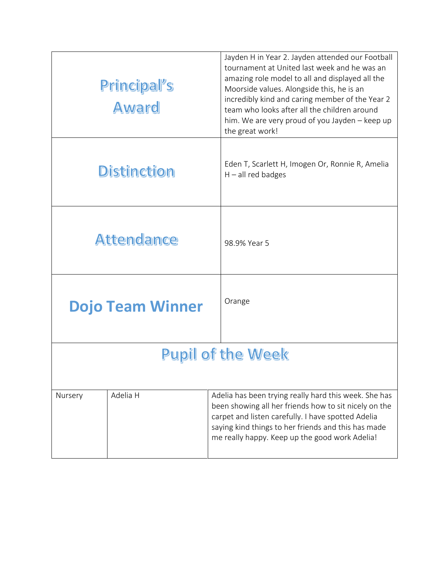| Principal's<br>Award     |                         | Jayden H in Year 2. Jayden attended our Football<br>tournament at United last week and he was an<br>amazing role model to all and displayed all the<br>Moorside values. Alongside this, he is an<br>incredibly kind and caring member of the Year 2<br>team who looks after all the children around<br>him. We are very proud of you Jayden - keep up<br>the great work! |  |  |
|--------------------------|-------------------------|--------------------------------------------------------------------------------------------------------------------------------------------------------------------------------------------------------------------------------------------------------------------------------------------------------------------------------------------------------------------------|--|--|
| <b>Distinction</b>       |                         | Eden T, Scarlett H, Imogen Or, Ronnie R, Amelia<br>$H - all$ red badges                                                                                                                                                                                                                                                                                                  |  |  |
| <b>Attendance</b>        |                         | 98.9% Year 5                                                                                                                                                                                                                                                                                                                                                             |  |  |
|                          | <b>Dojo Team Winner</b> | Orange                                                                                                                                                                                                                                                                                                                                                                   |  |  |
| <b>Pupil of the Week</b> |                         |                                                                                                                                                                                                                                                                                                                                                                          |  |  |
| Nursery                  | Adelia H                | Adelia has been trying really hard this week. She has<br>been showing all her friends how to sit nicely on the<br>carpet and listen carefully. I have spotted Adelia<br>saying kind things to her friends and this has made<br>me really happy. Keep up the good work Adelia!                                                                                            |  |  |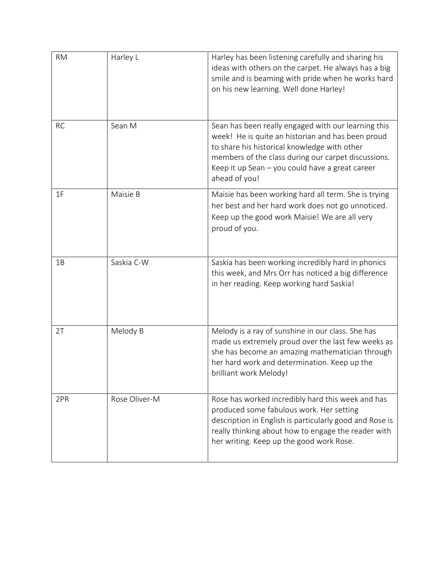| <b>RM</b> | Harley L      | Harley has been listening carefully and sharing his<br>ideas with others on the carpet. He always has a big<br>smile and is beaming with pride when he works hard<br>on his new learning. Well done Harley!                                                                         |
|-----------|---------------|-------------------------------------------------------------------------------------------------------------------------------------------------------------------------------------------------------------------------------------------------------------------------------------|
| <b>RC</b> | Sean M        | Sean has been really engaged with our learning this<br>week! He is quite an historian and has been proud<br>to share his historical knowledge with other<br>members of the class during our carpet discussions.<br>Keep it up Sean - you could have a great career<br>ahead of you! |
| 1F        | Maisie B      | Maisie has been working hard all term. She is trying<br>her best and her hard work does not go unnoticed.<br>Keep up the good work Maisie! We are all very<br>proud of you.                                                                                                         |
| 1B        | Saskia C-W    | Saskia has been working incredibly hard in phonics<br>this week, and Mrs Orr has noticed a big difference<br>in her reading. Keep working hard Saskia!                                                                                                                              |
| 2T        | Melody B      | Melody is a ray of sunshine in our class. She has<br>made us extremely proud over the last few weeks as<br>she has become an amazing mathematician through<br>her hard work and determination. Keep up the<br>brilliant work Melody!                                                |
| 2PR       | Rose Oliver-M | Rose has worked incredibly hard this week and has<br>produced some fabulous work. Her setting<br>description in English is particularly good and Rose is<br>really thinking about how to engage the reader with<br>her writing. Keep up the good work Rose.                         |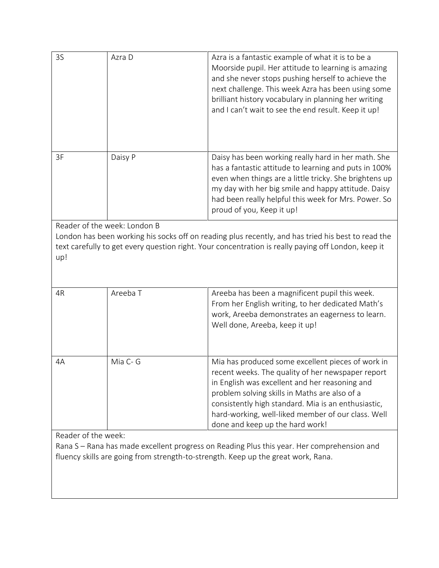| 3S                                                                                                                                                                                                                                               | Azra D   | Azra is a fantastic example of what it is to be a<br>Moorside pupil. Her attitude to learning is amazing<br>and she never stops pushing herself to achieve the<br>next challenge. This week Azra has been using some<br>brilliant history vocabulary in planning her writing<br>and I can't wait to see the end result. Keep it up!                       |  |  |
|--------------------------------------------------------------------------------------------------------------------------------------------------------------------------------------------------------------------------------------------------|----------|-----------------------------------------------------------------------------------------------------------------------------------------------------------------------------------------------------------------------------------------------------------------------------------------------------------------------------------------------------------|--|--|
| 3F                                                                                                                                                                                                                                               | Daisy P  | Daisy has been working really hard in her math. She<br>has a fantastic attitude to learning and puts in 100%<br>even when things are a little tricky. She brightens up<br>my day with her big smile and happy attitude. Daisy<br>had been really helpful this week for Mrs. Power. So<br>proud of you, Keep it up!                                        |  |  |
| Reader of the week: London B<br>London has been working his socks off on reading plus recently, and has tried his best to read the<br>text carefully to get every question right. Your concentration is really paying off London, keep it<br>up! |          |                                                                                                                                                                                                                                                                                                                                                           |  |  |
| 4R                                                                                                                                                                                                                                               | Areeba T | Areeba has been a magnificent pupil this week.<br>From her English writing, to her dedicated Math's<br>work, Areeba demonstrates an eagerness to learn.<br>Well done, Areeba, keep it up!                                                                                                                                                                 |  |  |
| 4A                                                                                                                                                                                                                                               | Mia C- G | Mia has produced some excellent pieces of work in<br>recent weeks. The quality of her newspaper report<br>in English was excellent and her reasoning and<br>problem solving skills in Maths are also of a<br>consistently high standard. Mia is an enthusiastic,<br>hard-working, well-liked member of our class. Well<br>done and keep up the hard work! |  |  |
| Reader of the week:<br>Rana S - Rana has made excellent progress on Reading Plus this year. Her comprehension and<br>fluency skills are going from strength-to-strength. Keep up the great work, Rana.                                           |          |                                                                                                                                                                                                                                                                                                                                                           |  |  |